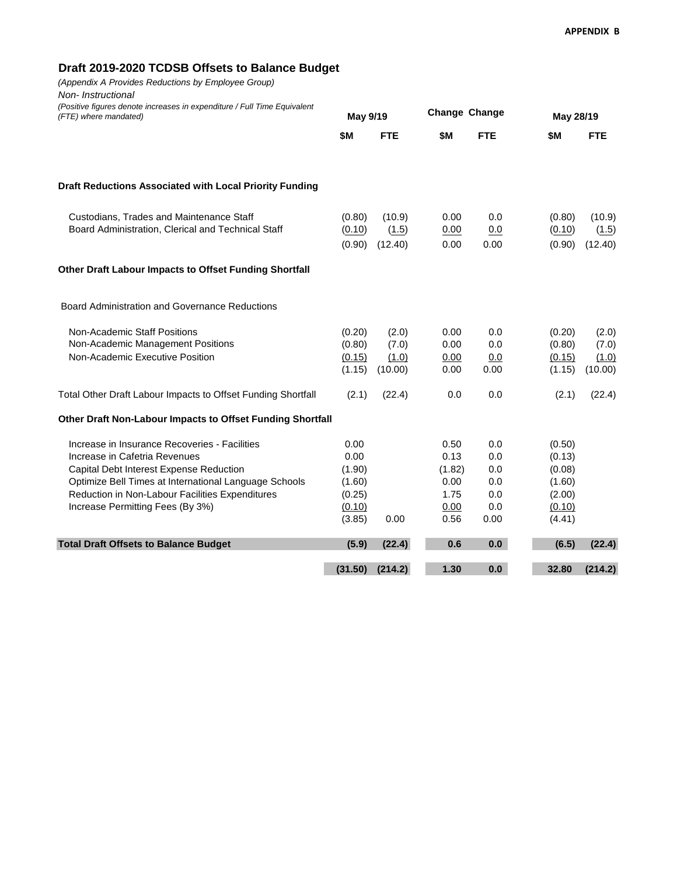## **Draft 2019-2020 TCDSB Offsets to Balance Budget**

*(Appendix A Provides Reductions by Employee Group) Non- Instructional (Positive figures denote increases in expenditure / Full Time Equivalent (FTE) where mandated)* **Change Change**

| (Positive figures denote increases in expenditure / Full Time Equivalent<br>(FTE) where mandated)                                                                                                                                                                         | May 9/19                                                       |                                    | Change Change                                          |                                                |                                                                    | May 28/19                          |  |
|---------------------------------------------------------------------------------------------------------------------------------------------------------------------------------------------------------------------------------------------------------------------------|----------------------------------------------------------------|------------------------------------|--------------------------------------------------------|------------------------------------------------|--------------------------------------------------------------------|------------------------------------|--|
|                                                                                                                                                                                                                                                                           | <b>\$M</b>                                                     | <b>FTE</b>                         | \$M                                                    | <b>FTE</b>                                     | \$M                                                                | <b>FTE</b>                         |  |
| Draft Reductions Associated with Local Priority Funding                                                                                                                                                                                                                   |                                                                |                                    |                                                        |                                                |                                                                    |                                    |  |
| Custodians, Trades and Maintenance Staff<br>Board Administration, Clerical and Technical Staff                                                                                                                                                                            | (0.80)<br>(0.10)<br>(0.90)                                     | (10.9)<br>(1.5)<br>(12.40)         | 0.00<br>0.00<br>0.00                                   | 0.0<br>0.0<br>0.00                             | (0.80)<br>(0.10)<br>(0.90)                                         | (10.9)<br>(1.5)<br>(12.40)         |  |
| Other Draft Labour Impacts to Offset Funding Shortfall                                                                                                                                                                                                                    |                                                                |                                    |                                                        |                                                |                                                                    |                                    |  |
| Board Administration and Governance Reductions                                                                                                                                                                                                                            |                                                                |                                    |                                                        |                                                |                                                                    |                                    |  |
| Non-Academic Staff Positions<br>Non-Academic Management Positions<br>Non-Academic Executive Position                                                                                                                                                                      | (0.20)<br>(0.80)<br>(0.15)<br>(1.15)                           | (2.0)<br>(7.0)<br>(1.0)<br>(10.00) | 0.00<br>0.00<br>0.00<br>0.00                           | 0.0<br>0.0<br>0.0<br>0.00                      | (0.20)<br>(0.80)<br>(0.15)<br>(1.15)                               | (2.0)<br>(7.0)<br>(1.0)<br>(10.00) |  |
| Total Other Draft Labour Impacts to Offset Funding Shortfall                                                                                                                                                                                                              | (2.1)                                                          | (22.4)                             | 0.0                                                    | 0.0                                            | (2.1)                                                              | (22.4)                             |  |
| Other Draft Non-Labour Impacts to Offset Funding Shortfall                                                                                                                                                                                                                |                                                                |                                    |                                                        |                                                |                                                                    |                                    |  |
| Increase in Insurance Recoveries - Facilities<br>Increase in Cafetria Revenues<br>Capital Debt Interest Expense Reduction<br>Optimize Bell Times at International Language Schools<br>Reduction in Non-Labour Facilities Expenditures<br>Increase Permitting Fees (By 3%) | 0.00<br>0.00<br>(1.90)<br>(1.60)<br>(0.25)<br>(0.10)<br>(3.85) | 0.00                               | 0.50<br>0.13<br>(1.82)<br>0.00<br>1.75<br>0.00<br>0.56 | 0.0<br>0.0<br>0.0<br>0.0<br>0.0<br>0.0<br>0.00 | (0.50)<br>(0.13)<br>(0.08)<br>(1.60)<br>(2.00)<br>(0.10)<br>(4.41) |                                    |  |
| <b>Total Draft Offsets to Balance Budget</b>                                                                                                                                                                                                                              | (5.9)                                                          | (22.4)                             | 0.6                                                    | 0.0                                            | (6.5)                                                              | (22.4)                             |  |
|                                                                                                                                                                                                                                                                           | (31.50)                                                        | (214.2)                            | 1.30                                                   | 0.0                                            | 32.80                                                              | (214.2)                            |  |